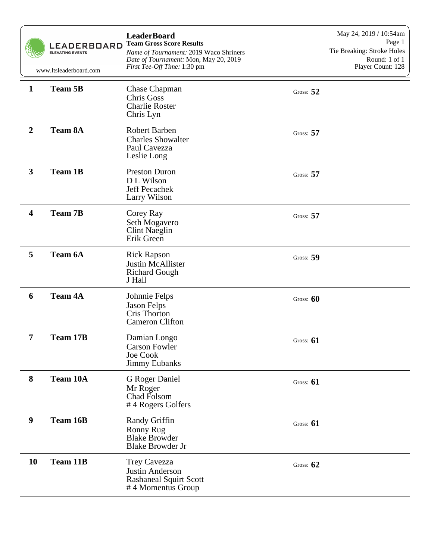|                         | <b>LEADERBOARD</b><br><b>ELEVATING EVENTS</b><br>www.ltsleaderboard.com | <b>LeaderBoard</b><br><b>Team Gross Score Results</b><br>Name of Tournament: 2019 Waco Shriners<br>Date of Tournament: Mon, May 20, 2019<br>First Tee-Off Time: 1:30 pm |             | May 24, 2019 / 10:54am<br>Page 1<br>Tie Breaking: Stroke Holes<br>Round: 1 of 1<br>Player Count: 128 |
|-------------------------|-------------------------------------------------------------------------|-------------------------------------------------------------------------------------------------------------------------------------------------------------------------|-------------|------------------------------------------------------------------------------------------------------|
| $\mathbf{1}$            | <b>Team 5B</b>                                                          | <b>Chase Chapman</b><br>Chris Goss<br><b>Charlie Roster</b><br>Chris Lyn                                                                                                | Gross: $52$ |                                                                                                      |
| $\boldsymbol{2}$        | <b>Team 8A</b>                                                          | <b>Robert Barben</b><br><b>Charles Showalter</b><br>Paul Cavezza<br>Leslie Long                                                                                         | Gross: $57$ |                                                                                                      |
| $\mathbf{3}$            | <b>Team 1B</b>                                                          | <b>Preston Duron</b><br>D L Wilson<br>Jeff Pecachek<br>Larry Wilson                                                                                                     | Gross: $57$ |                                                                                                      |
| $\overline{\mathbf{4}}$ | <b>Team 7B</b>                                                          | Corey Ray<br>Seth Mogavero<br><b>Clint Naeglin</b><br>Erik Green                                                                                                        | Gross: $57$ |                                                                                                      |
| 5                       | <b>Team 6A</b>                                                          | <b>Rick Rapson</b><br>Justin McAllister<br><b>Richard Gough</b><br>J Hall                                                                                               | Gross: 59   |                                                                                                      |
| 6                       | <b>Team 4A</b>                                                          | Johnnie Felps<br><b>Jason Felps</b><br>Cris Thorton<br><b>Cameron Clifton</b>                                                                                           | Gross: $60$ |                                                                                                      |
| 7                       | <b>Team 17B</b>                                                         | Damian Longo<br><b>Carson Fowler</b><br><b>Joe Cook</b><br><b>Jimmy Eubanks</b>                                                                                         | Gross: $61$ |                                                                                                      |
| 8                       | Team 10A                                                                | G Roger Daniel<br>Mr Roger<br>Chad Folsom<br>#4 Rogers Golfers                                                                                                          | Gross: $61$ |                                                                                                      |
| 9                       | Team 16B                                                                | Randy Griffin<br>Ronny Rug<br><b>Blake Browder</b><br><b>Blake Browder Jr</b>                                                                                           | Gross: $61$ |                                                                                                      |
| 10                      | Team 11B                                                                | Trey Cavezza<br>Justin Anderson<br><b>Rashaneal Squirt Scott</b><br>#4 Momentus Group                                                                                   | Gross: $62$ |                                                                                                      |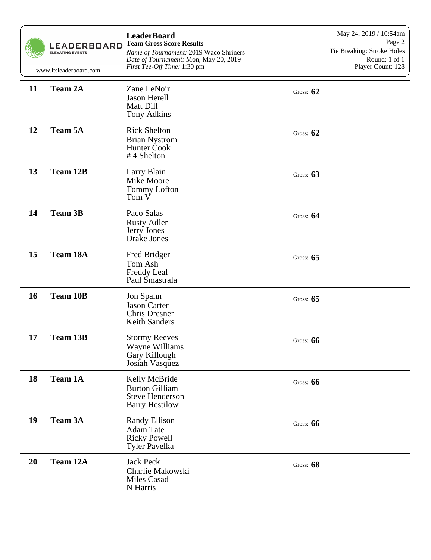|    | <b>LEADERBOARD</b><br><b>ELEVATING EVENTS</b><br>www.ltsleaderboard.com | <b>LeaderBoard</b><br><b>Team Gross Score Results</b><br>Name of Tournament: 2019 Waco Shriners<br>Date of Tournament: Mon, May 20, 2019<br>First Tee-Off Time: 1:30 pm |             | May 24, 2019 / 10:54am<br>Page 2<br>Tie Breaking: Stroke Holes<br>Round: 1 of 1<br>Player Count: 128 |
|----|-------------------------------------------------------------------------|-------------------------------------------------------------------------------------------------------------------------------------------------------------------------|-------------|------------------------------------------------------------------------------------------------------|
| 11 | <b>Team 2A</b>                                                          | Zane LeNoir<br>Jason Herell<br>Matt Dill<br>Tony Adkins                                                                                                                 | Gross: $62$ |                                                                                                      |
| 12 | <b>Team 5A</b>                                                          | <b>Rick Shelton</b><br><b>Brian Nystrom</b><br><b>Hunter Cook</b><br>#4 Shelton                                                                                         | Gross: $62$ |                                                                                                      |
| 13 | <b>Team 12B</b>                                                         | Larry Blain<br>Mike Moore<br><b>Tommy Lofton</b><br>Tom V                                                                                                               | Gross: $63$ |                                                                                                      |
| 14 | <b>Team 3B</b>                                                          | Paco Salas<br><b>Rusty Adler</b><br>Jerry Jones<br>Drake Jones                                                                                                          | Gross: $64$ |                                                                                                      |
| 15 | <b>Team 18A</b>                                                         | Fred Bridger<br>Tom Ash<br>Freddy Leal<br>Paul Smastrala                                                                                                                | Gross: $65$ |                                                                                                      |
| 16 | <b>Team 10B</b>                                                         | Jon Spann<br><b>Jason Carter</b><br><b>Chris Dresner</b><br><b>Keith Sanders</b>                                                                                        | Gross: $65$ |                                                                                                      |
| 17 | <b>Team 13B</b>                                                         | <b>Stormy Reeves</b><br>Wayne Williams<br>Gary Killough<br>Josiah Vasquez                                                                                               | Gross: $66$ |                                                                                                      |
| 18 | <b>Team 1A</b>                                                          | Kelly McBride<br><b>Burton Gilliam</b><br><b>Steve Henderson</b><br><b>Barry Hestilow</b>                                                                               | Gross: $66$ |                                                                                                      |
| 19 | <b>Team 3A</b>                                                          | <b>Randy Ellison</b><br>Adam Tate<br><b>Ricky Powell</b><br>Tyler Pavelka                                                                                               | Gross: $66$ |                                                                                                      |
| 20 | Team 12A                                                                | <b>Jack Peck</b><br>Charlie Makowski<br>Miles Casad<br>N Harris                                                                                                         | Gross: 68   |                                                                                                      |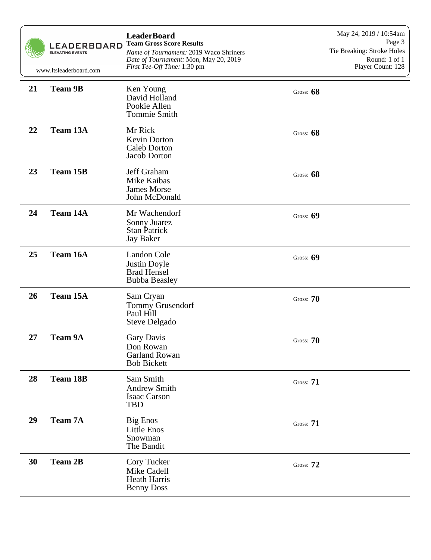|    | <b>LEADERBOARD</b><br><b>ELEVATING EVENTS</b><br>www.ltsleaderboard.com | <b>LeaderBoard</b><br><b>Team Gross Score Results</b><br>Name of Tournament: 2019 Waco Shriners<br>Date of Tournament: Mon, May 20, 2019<br>First Tee-Off Time: 1:30 pm |             | May 24, 2019 / 10:54am<br>Page 3<br>Tie Breaking: Stroke Holes<br>Round: 1 of 1<br>Player Count: 128 |
|----|-------------------------------------------------------------------------|-------------------------------------------------------------------------------------------------------------------------------------------------------------------------|-------------|------------------------------------------------------------------------------------------------------|
| 21 | <b>Team 9B</b>                                                          | Ken Young<br>David Holland<br>Pookie Allen<br><b>Tommie Smith</b>                                                                                                       | Gross: 68   |                                                                                                      |
| 22 | Team 13A                                                                | Mr Rick<br>Kevin Dorton<br><b>Caleb Dorton</b><br>Jacob Dorton                                                                                                          | Gross: 68   |                                                                                                      |
| 23 | Team 15B                                                                | Jeff Graham<br>Mike Kaibas<br><b>James Morse</b><br>John McDonald                                                                                                       | Gross: 68   |                                                                                                      |
| 24 | Team 14A                                                                | Mr Wachendorf<br>Sonny Juarez<br><b>Stan Patrick</b><br><b>Jay Baker</b>                                                                                                | Gross: $69$ |                                                                                                      |
| 25 | Team 16A                                                                | <b>Landon Cole</b><br>Justin Doyle<br><b>Brad Hensel</b><br><b>Bubba Beasley</b>                                                                                        | Gross: 69   |                                                                                                      |
| 26 | <b>Team 15A</b>                                                         | Sam Cryan<br><b>Tommy Grusendorf</b><br>Paul Hill<br>Steve Delgado                                                                                                      | Gross: 70   |                                                                                                      |
| 27 | <b>Team 9A</b>                                                          | Gary Davis<br>Don Rowan<br><b>Garland Rowan</b><br><b>Bob Bickett</b>                                                                                                   | Gross: 70   |                                                                                                      |
| 28 | <b>Team 18B</b>                                                         | Sam Smith<br><b>Andrew Smith</b><br><b>Isaac Carson</b><br><b>TBD</b>                                                                                                   | Gross: 71   |                                                                                                      |
| 29 | <b>Team 7A</b>                                                          | <b>Big Enos</b><br>Little Enos<br>Snowman<br>The Bandit                                                                                                                 | Gross: $71$ |                                                                                                      |
| 30 | <b>Team 2B</b>                                                          | Cory Tucker<br>Mike Cadell<br><b>Heath Harris</b><br><b>Benny Doss</b>                                                                                                  | Gross: $72$ |                                                                                                      |